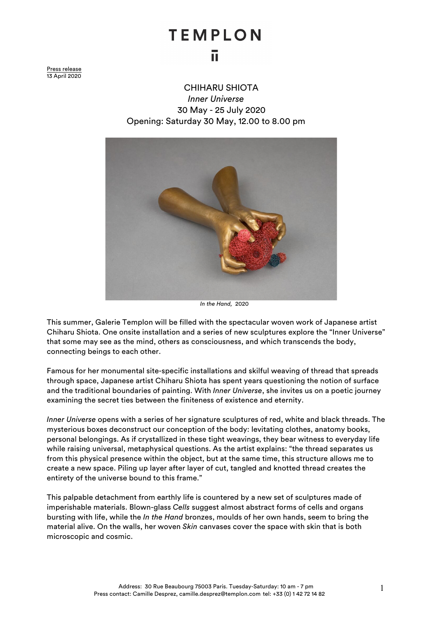## **TEMPLON** īī

Press release 13 April 2020

> CHIHARU SHIOTA *Inner Universe* 30 May - 25 July 2020 Opening: Saturday 30 May, 12.00 to 8.00 pm



 *In the Hand,* 2020

This summer, Galerie Templon will be filled with the spectacular woven work of Japanese artist Chiharu Shiota. One onsite installation and a series of new sculptures explore the "Inner Universe" that some may see as the mind, others as consciousness, and which transcends the body, connecting beings to each other.

Famous for her monumental site-specific installations and skilful weaving of thread that spreads through space, Japanese artist Chiharu Shiota has spent years questioning the notion of surface and the traditional boundaries of painting. With *Inner Universe*, she invites us on a poetic journey examining the secret ties between the finiteness of existence and eternity.

*Inner Universe* opens with a series of her signature sculptures of red, white and black threads. The mysterious boxes deconstruct our conception of the body: levitating clothes, anatomy books, personal belongings. As if crystallized in these tight weavings, they bear witness to everyday life while raising universal, metaphysical questions. As the artist explains: "the thread separates us from this physical presence within the object, but at the same time, this structure allows me to create a new space. Piling up layer after layer of cut, tangled and knotted thread creates the entirety of the universe bound to this frame."

This palpable detachment from earthly life is countered by a new set of sculptures made of imperishable materials. Blown-glass *Cells* suggest almost abstract forms of cells and organs bursting with life, while the *In the Hand* bronzes, moulds of her own hands, seem to bring the material alive. On the walls, her woven *Skin* canvases cover the space with skin that is both microscopic and cosmic.